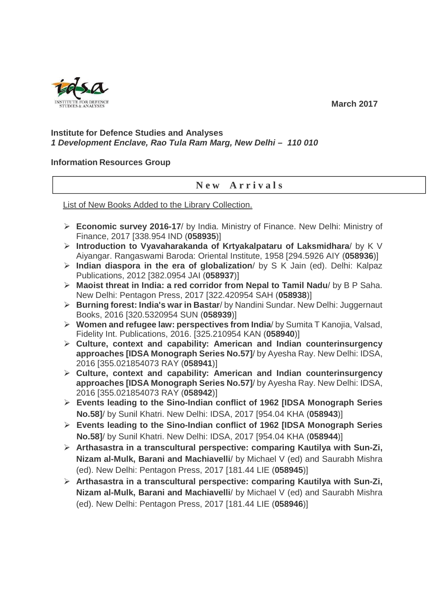

 **March 2017** 

## **Institute for Defence Studies and Analyses 1 Development Enclave, Rao Tula Ram Marg, New Delhi – 110 010**

## **Information Resources Group**

## **N e w A r r i v a l s**

List of New Books Added to the Library Collection.

- **Economic survey 2016-17**/ by India. Ministry of Finance. New Delhi: Ministry of Finance, 2017 [338.954 IND (**058935**)]
- **Introduction to Vyavaharakanda of Krtyakalpataru of Laksmidhara**/ by K V Aiyangar. Rangaswami Baroda: Oriental Institute, 1958 [294.5926 AIY (**058936**)]
- **Indian diaspora in the era of globalization**/ by S K Jain (ed). Delhi: Kalpaz Publications, 2012 [382.0954 JAI (**058937**)]
- **Maoist threat in India: a red corridor from Nepal to Tamil Nadu**/ by B P Saha. New Delhi: Pentagon Press, 2017 [322.420954 SAH (**058938**)]
- **Burning forest: India's war in Bastar**/ by Nandini Sundar. New Delhi: Juggernaut Books, 2016 [320.5320954 SUN (**058939**)]
- **Women and refugee law: perspectives from India**/ by Sumita T Kanojia, Valsad, Fidelity Int. Publications, 2016. [325.210954 KAN (**058940**)]
- **Culture, context and capability: American and Indian counterinsurgency approaches [IDSA Monograph Series No.57]**/ by Ayesha Ray. New Delhi: IDSA, 2016 [355.021854073 RAY (**058941**)]
- **Culture, context and capability: American and Indian counterinsurgency approaches [IDSA Monograph Series No.57]**/ by Ayesha Ray. New Delhi: IDSA, 2016 [355.021854073 RAY (**058942**)]
- **Events leading to the Sino-Indian conflict of 1962 [IDSA Monograph Series No.58]**/ by Sunil Khatri. New Delhi: IDSA, 2017 [954.04 KHA (**058943**)]
- **Events leading to the Sino-Indian conflict of 1962 [IDSA Monograph Series No.58]**/ by Sunil Khatri. New Delhi: IDSA, 2017 [954.04 KHA (**058944**)]
- **Arthasastra in a transcultural perspective: comparing Kautilya with Sun-Zi, Nizam al-Mulk, Barani and Machiavelli**/ by Michael V (ed) and Saurabh Mishra (ed). New Delhi: Pentagon Press, 2017 [181.44 LIE (**058945**)]
- **Arthasastra in a transcultural perspective: comparing Kautilya with Sun-Zi, Nizam al-Mulk, Barani and Machiavelli**/ by Michael V (ed) and Saurabh Mishra (ed). New Delhi: Pentagon Press, 2017 [181.44 LIE (**058946**)]